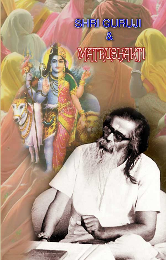# SHRI GURUJI  $\otimes$ MATRUSHAKTI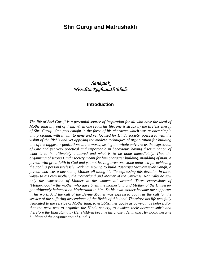# **Shri Guruji and Matrushakti**

# *Sankalak Nivedita Raghunath Bhide*

# **Introduction**

*The life of Shri Guruji is a perennial source of Inspiration for all who have the ideal of Motherland in front of them. When one reads his life, one is struck by the tireless energy of Shri Guruji. One gets caught in the force of his character which was at once simple and profound, with ill will to none and yet focused for Hindu society, possessed with the vision of the Rishis and yet applying the modern techniques of organization for building one of the biggest organizations in the world, seeing the whole universe as the expression of One and yet very practical and impeccable in behaviour, having discrimination of*  what is to be ultimately achieved and what is to be done immediately. Thus the *organizing of strong Hindu society meant for him character building, moulding of man. A person with great faith in God and yet not leaving even one stone unturned for achieving the goal, a person tirelessly working, moving to build Rashtriya Swayamsevak Sangh, a person who was a devotee of Mother all along his life expressing this devotion in three ways- to his own mother, the motherland and Mother of the Universe. Naturally he saw only the expression of Mother in the women all around. Three expressions of 'Motherhood' – the mother who gave birth, the motherland and Mother of the Universegot ultimately balanced on Motherland in him. So his own mother became the supporter in his work. And the call of the Divine Mother was expressed again as the call for the service of the suffering descendants of the Rishis of this land. Therefore his life was fully dedicated to the service of Motherland, to establish her again as powerful as before. For that the need was to organize the Hindu society, to awaken their dormant spirit and therefore the Bharatamata- Her children became his chosen deity, and Her pooja became building of the organization of Hindus.*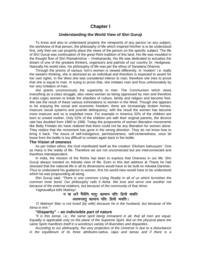# **Chapter I**

# **Understanding the World View of Shri Guruji**

To know and also to understand properly the viewpoints of any person on any subject, the worldview of that person, the philosophy of life which inspired him/her is to be understood first, only then we can properly place the views of the person on the specific subject. The life of Shri Guruji was continuation of the great Rishi tradition of this land. His life was moulded in the thought flow of Shri Ramakrishna – Vivekananda. His life was dedicated to actualize the dream of one of the greatest thinkers, organizers and patriots of our country Dr. Hedgewar, Naturally his world-view, his philosophy of life was per the ethos of Sanatana Dharma.

Through the prisms of various 'ism's women is viewed differently. In 'modern' i.e. really the western thinking, she is atomized as an individual and therefore is expected to assert for her own rights. In the West she was considered inferior to man, therefore she tries to prove that she is equal to man. In trying to prove that, she imitates man and thus unfortunately by her very imitation of man,

she grants unconsciously the superiority to man. The Communism which views everything as a class struggle, also views woman as being oppressed by men and therefore it also urges women to break the shackles of culture, family and religion and become free. We see the result of these various exhortations to women in the West. Though she appears to be enjoying the social and economic freedom, there are increasingly broken homes, insecure social systems and juvenile delinquency, with the result the women has become more insecure and so is exploited more. For example in America 32% of the children are born to unwed mother. Only 52% of the children are with their original parents, the divorce rate has doubled from 1960 to 1996. Today the proponents of women liberation movements like Betty Freidan etc have realized that there could not be any liberation for women alone. They realize that the movement has gone in the wrong direction. They do not know how to bring it back. The Asura of self-indulgence, permissiveness, self-centeredness, once let loose from the bottle is too difficult to contain again back in the bottle.

## **The Vision of oneness**

As per Indian ethos, the God manifested itself as the creation *'Ekoham bahusyam.*' One as many is the reality of life. Therefore we are not unconnected but are interconnected and therefore interdependent.

In India, the mission of the Rishis has been to express that Oneness in our life. Shri Guruji always insisted on Advaita view of life. Even in this last address at Thane he had stressed that the national life in all its dimensions would have to be built on Advaita Darshan. Thus to understand his guidance to women, first his world-view would have to be understood which he was propounding all along.

Shri Guruji said*, "There is one common Living Reality in all of us which furnishes the common inner bond. Our philosophy calls it Atma. We love and serve one another not because of the external relations, but because of the community of that Atma-*

*Yagnavalkya tells Maitreyi:* 

# न वा अरे मैत्रेयि पत्युः कामाय पतिः प्रियो भवति आत्मनस्तु कामाय पतिः प्रियो भवति ।

*'O Maitreyi! Man is not loved (by wife) because he is the husband, but because of the Atma in him."* 

## **"Disparity" – an indivisible part of nature**

*"It is this sense, i.e., the same spirit being immanent in all, that all men are equal. Equality is applicable only on the plane of the Supreme Spirit. But on the physical plane the same Spirit manifests itself in a wondrous variety of diversities and disparities.* 

*According to our philosophy, the very projection of the Universe is due to a disturbance in the equilibrium of its three attributes-sattva, rajas and tamas and if there is a*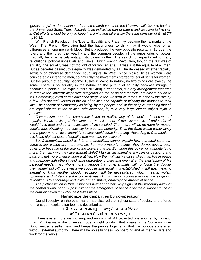*'gunasaamya', perfect balance of the three attributes, then the Universe will dissolve back to the Unmanifest State. Thus, disparity is an indivisible part of nature and we have to live with it. Out efforts should be only to keep it in limits and take away the sting born our of it." (BOT –p30-31)* 

With French Revolution the 'Liberty, Equality and Fraternity' became the hallmarks of the West. The French Revolution had the haughtiness to think that it would wipe of all differences among men with blood. But it produced the very opposite results. In Europe, the rulers and the ruled, the wealthy and the common people, all the repositories of power, gradually became fiercely antagonistic to each other. The search for equality led to many revolutions, political upheavals and 'ism's. During French Revolution, though the talk was of equality, the equality was not thought of for women at all. It was just the equality of all men. But as decades passed, this equality was demanded by all. The depressed whether racially, sexually or otherwise demanded equal rights. In West, since biblical times women were considered as inferior to men, so naturally the movements started for equal rights for women. But the pursuit of equality became illusive in West. In nature, no two things are exactly the same. There is no equality in the nature so the pursuit of equality becomes mirage, it becomes superficial. To explain this Shri Guruji further says, *"So any arrangement that tries to remove the inherent disparities altogether on the basis of superficial equality is bound to fail. Democracy, even at this advanced stage in the Western countries, is after all the rule by a few who are well versed in the art of politics and capable of winning the masses to their line. The concept of Democracy as being 'by the people' and 'of the people', meaning that all are equal shares in the political administration, is, to a very large extent, only a myth in practice.* 

*Communism, too, has completely failed to realize any of its declared concepts of*  equality. It had envisaged that after the establishment of the dictatorship of proletariat all *would have food and other necessities of life satisfied. Then there will be no room for mutual conflict thus obviating the necessity for a central authority. Thus the State would wither away and a government –less 'anarchic' society would come into being. According to Communism, this is the highest state of equality that man can conceive of.* 

*But Communism, based as it is on materialism, cannot explain how that ideal state can come to life. If men are mere animals, i.e., mere material beings, they do not devour each other only because of the fear of the powers that be. But when this power or authority is no more, then why will they live without strife? Man as an animal is a victim of passions and passions get more intense when gratified. How then will such a dissatisfied man live in peace and harmony with others? And what guarantee is there that even after the satisfaction of his personal needs, man, who is more ingenious than other animals, will not follow the 'dog-inthe-manger' policy? So even if we suppose that equality is established, it will again lead to*  inequality. Thus another bloody revolution will be necessitated, which means, violent *upheavals and strife's are the cornerstones of this theory. To raise always the slogan of revolution is to encourage and invite armed strife's, anarchy and murder of peace.* 

*The picture which is thus visualized neither contains any signs of the withering away of the central power nor any possibility of the emergence of peace after the dis-appearance of the authority even if by chance it takes place."* 

## **Harmonize the disparities by co-operation**

Our philosophy, on the other hand, has pictured the highest state of society and offered for it a cogent explanation too. It is described as:

# न वै राज्य न राजासीत् न दण्ड्यो न च दाण्डिकः। धर्मेणैव प्रजास्सर्वा रक्षन्ति स्म परस्परम् ।।

'There existed no state, no king, and no criminal. All protected one another by virtue of dharma'. Dharma is the universal code of right conduct that awakens the Common Inner Bond, restrains selfishness, and keeps the people together in that harmonious state even without external authority. There will be no selfishness, no hoarding and all men will live and work for the whole.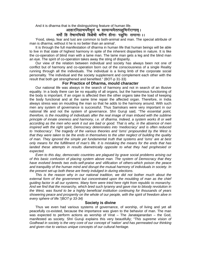And it is dharma that is the distinguishing feature of human life.

# आहारनिद्राभयमैथुनं च सामान्यमेतत्पशुभिर्नराणाम् ।

# धर्मो हि तेषामधिको विशेषो धर्मेण हीनाः पशुभिः समानाः ।।

'Food, sleep, fear and lust are common to both-animal and man. The special attribute of man is dharma; without it he is no better than an animal'.

It is through the full manifestation of dharma in human life that human beings will be able to live in that state of highest harmony in spite of the inherent disparities in nature. It is like the co-operation of blind man with a lame man. The lame man gets a leg and the blind man an eye. The spirit of co-operation takes away the sting of disparity.

Our view of the relation between individual and society has always been not one of conflict but of harmony and co-operation born out of the consciousness of a single Reality running through all the individuals. The individual is a living limb of the corporate social personality. The individual and the society supplement and complement each other with the result that both get strengthened and benefited." (BOT-p 31-33)

# **For Practice of Dharma, mould character**

Our national life was always in the search of harmony and not in search of an illusive equality. In a body there can be no equality of all organs, but the harmonious functioning of the body is important. If an organ is affected then the other organs take the load of keeping the body functional and at the same time repair the affected organ. Therefore, in India always stress was on moulding the man so that he adds to the harmony around. With such men any system of governance is successful. Thus Samskars were very important in our national life and not the system of governance. Shri Guruji said, *"The essential point, therefore, is the moulding of individuals after the real image of man imbued with the sublime*  principle of innate oneness and harmony, i.e. of dharma. Indeed, a system works ill or well *according as the men who work it out are bad or good. That is why, in the absence of men inspired with the right spirit, Democracy deteriorates into 'mediocracy' and is often reduced to 'mobocracy'. The tragedy of the various theories and 'isms' propounded by the West is that they were taken to be the ends in themselves to the utter neglect of building the quality of man. They ignored the simple yet fundamental truth that systems and 'isms' are at best only means for the fulfillment of man's life. It is mistaking the means for the ends that has*  landed these attempts in results diametrically opposite to what they had prophesied or *expected.* 

*Even to this day, democratic countries are plagued by grave social problems arising out of this basic confusion of placing system above man. The system of Democracy that they have evolved breeds two evils-self-praise and vilification of others-which poison the peace and tranquility of the human mind and disrupt the mutual harmony of individuals in society. In the present set-up both these are freely indulged in during elections.* 

*This is the reason why in our national tradition, we did not bother much about the external form of the government but concentrated upon the moulding of man as the chief guiding factor in all our systems. Many form were tried here right from republic to monarchy. And we find that the monarchy, which bred such tyranny and gave rise to bloody revolution in the West, was found to be a highly beneficial institution continuing for thousands of years showering peace and prosperity on the whole of our people, with the spirit of freedom alive in every sphere of life."(BOT-p 33-34)* 

#### **Society is divine**

Thus we even had various systems of governance, of worship, of living and yet all peacefully co-existed, because the importance was given to the behavior of man. The man was expected to perform actions as worship of Virat – The Janatajanardan – the God, manifested as society. Shri Guruji explains this very beautifully; *"This supreme vision of Godhead in society is the very core of our concept of 'nation' and has permeated our thinking and given rise to various unique concepts of our cultural heritage.*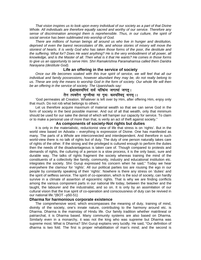*That vision inspires us to look upon every individual of our society as a part of that Divine Whole. All individuals are therefore equally sacred and worthy of our service. Therefore any sense of discrimination amongst them is reprehensible. Thus, in our culture, the spirit of social service has been sublimated into worship of God.* 

*There are millions of human beings all around us who live in hunger and destitution, deprived of even the barest necessitates of life, and whose stories of misery will move the stoniest of hearts. It is verily God who has taken those forms of the poor, the destitute and the suffering. What for? Does He want anything? He is the very embodiment of all power, all knowledge, and is the Master of all. Then what is it that He wants? He comes in those forms to give us an opportunity to serve Him. Shri Ramakrishna Paramahamsa called them Daridra Narayana (destitute God).* 

## **Life an offering in the service of society**

*Once our life becomes soaked with this true spirit of service, we will feel that all our individual and family possessions, however abundant they may be, do not really belong to us. These are only the means to worship God in the form of society. Our whole life will then be an offering in the service of society. The Upanishads say:* 

# ईशावास्यमिदं सर्व यत्किंच जगत्यां जगत्।

# तेन त्यक्तेन भुन्जीथा मा गृधः कस्यस्विद् धनम् ।।

'God permeates all Creation. Whatever is left over by Him, after offering Him, enjoy only that much. Do not rob what belongs to others.'

Let us therefore acquire maximum of material wealth so that we can serve God in the form of society in the best possible manner. And out of all that wealth, only that minimum should be used for our sake the denial of which will hamper our capacity for service. To claim or to make a personal use of more than that, is verily an act of theft against society."

## **As components of society-Not rights but duties**

It is only in the materialistic, reductionist view of life that stress is on 'rights'. But in the world view based on Advaita – everything is expression of Divine. One has manifested as many. The parts of a Whole are interconnected and interdependent. And therefore in such world-view there is no talk of rights but of duty. The duty of one person naturally takes care of rights of the other. If the strong and the privileged is cultured enough to perform the duties then the needs of the disadvantageous is taken care of. Though compared to protests and demands of rights, the culturing of a person is a slow process, it is the only basic, sure and durable way. The talks of rights fragment the society whereas training the mind of the constituents of a collectivity like family, community, industry and educational institution etc. integrates the society. Shri Guruji expressed his concern when he said," Today we hear everywhere the clamour for 'rights'. All our political parties too are rousing the ego in our people by constantly speaking of their 'rights'. Nowhere is there any stress on 'duties' and the spirit of selfless service. The spirit of co-operation, which is the soul of society, can hardly survive in a climate of assertion of egocentric rights. That is why we are finding conflicts among the various component parts in our national life today, between the teacher and the taught, the labourer and the industrialist, and so on. It is only by an assimilation of our cultural vision that the true spirit of co-operation and consciousness of duty can be revived in our national life."(BOT –p50-51)

## **Dharma for harmonious corporate existence**

The comprehensive word, which encompasses the meaning of duty, training of mind, divinity of the society, one's innate nature, contributing to the harmony around etc. is Dharma. Dharma is the mainstay of Hindu life. Our family tradition whether matrilineal or patriarchal, it is Dharma based. Many community systems are also based on Dharma. Similarly even in a monarchy, it was not the king who was supreme but Dharma was supreme most. What is Dharma? Shri Guruji explains very lucidly. He said, "Our definition of dharma is two fold. The first is proper rehabilitation of man's mind; and the second is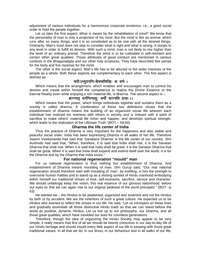adjustment of various individuals for a harmonious corporate existence, i.e., a good social order to hold the people together.

Let us take the first aspect. What is meant by the rehabilitation of mind? We know that the personality of man is only a projection of his mind. But the mind is like an animal, which runs after so many things, and it is so constituted as to be one with all the desired things. Ordinarily. Man's mind does not stop to consider what is right and what is wrong. It stoops to any level in order to fulfill its desires. With such a mind, man is not likely to rise higher than the level of an ordinary animal. Therefore the mind is to be cultivated in self-restraint and certain other great qualities. Those attributes of good conduct are mentioned in various contexts in the Bhagavadgita and our other holy scriptures. They have described five yamas for the body and five niyamas for the mind.

The other is the social aspect. Man's life has to be attuned to the wider interests of the people as a whole. Both these aspects are complementary to each other. The first aspect is defined as-

# यतो ऽभ्युदयनिःश्रेयससिद्धिः स धर्मः।

Which means that the arrangement, which enables and encourages man to control his desires and create within himself the competence to realize the Divine Essence or the Eternal Reality even while enjoying a rich material life, is dharma. The second aspect is –

# <u>शारणातू</u> धर्ममित्याहुः धर्मो धारयति प्रजाः।।

Which means that the power, which brings individuals together and sustains them as a society is called dharma. A combination of these two definitions shows that the establishment of dharma means the building of an organized social life wherein each individual has realized his oneness with others in society and is imbued with a spirit of sacrifice to make others' material life richer and happier, and develops spiritual strength, which leads to the realization of the Ultimate Truth."(BOT – 59-60)

## **Dharma the life center of India**

Thus the practice of Dharma is very important for the happiness and also stable and peaceful social order. India has been expressing Dharma in all walks of her life. Therefore Swami Vivekananda had said that 'Sanatana Dharma' is the life center of our country. Shri Aurbindo had said that, "When, therefore, it is said that India shall rise, it is the Sanatan Dharma that shall rise. When it is said that India shall be great, it is the Sanatan Dharma that shall be great. When it is said that India shall expand and extend itself over the world. It is for the Dharma and by the Dharma that India exists."

# **For national regeneration "mould" man**

For us national regeneration is thus nothing but establishment of Dharma. And establishment of Dharma means moulding of man. Shri Guruji said, "Our real national regeneration should therefore start with moulding of 'man', by instilling, in him the strength to overcome human frailties and to stand up as a shining symbol of Hindu manhood embodying within himself our traditional virtues of love, self-restraints, sacrifice, service and character. We should unfailingly keep this vision, this real essence of our glorious nationhood, before our eyes so that we can again rise to our original pedestal of the world preceptor." (BOT –p 63)

He wanted we – the Hindus to be awakened, organized and assertive and not the Hindus by birth or by accident. We are the inheritors of such a great culture. He expected us to be Hindus who exerted to reflect the virtues in our life. He said, "Let us introspect on these lines and gradually assimilate all those distinctive Hindu traits so that we can stand before the world as positive, dynamic Hindus. Let us live up to our philosophy, our Dharma, and all those great qualities, which have moulded our lives for countless generations.

Therefore, though the idea of organizing the Hindu Society may appear to be very simple, it really means that first of all we should be keenly conscious in our day-to-day life of our Hindu heritage and should mould every little aspect of our life in keeping with those great traditional values. In all that we do, in our dress, in our behaviour and in all walks of our life,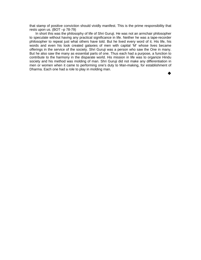that stamp of positive conviction should vividly manifest. This is the prime responsibility that rests upon us. (BOT –p 78-79)

In short this was the philosophy of life of Shri Guruji. He was not an armchair philosopher to speculate without having any practical significance in life. Neither he was a tape-recorder philosopher to repeat just what others have told. But he lived every word of it. His life, his words and even his look created galaxies of men with capital 'M' whose lives became offerings in the service of the society. Shri Guruji was a person who saw the One in many. But he also saw the many as essential parts of one. Thus each had a purpose, a function to contribute to the harmony in the disparate world. His mission in life was to organize Hindu society and his method was molding of man. Shri Guruji did not make any differentiation in men or women when it came to performing one's duty to Man-making, for establishment of Dharma. Each one had a role to play in molding man.

 $\blacklozenge$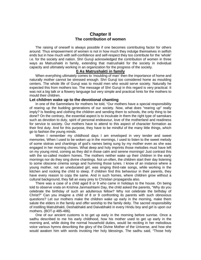# **Chapter II The contribution of women**

The raising of oneself is always possible if one becomes contributing factor for others around. Thus empowerment of women is not in how much they indulge themselves in selfish ends but in how much with self-confidence and self-respect they too contribute for the 'whole' i.e. for the society and nation. Shri Guruji acknowledged the contribution of women in three ways as Matrushakti in family, extending that matrushakti for the society in individual capacity and ultimately working in an organization for the progress of the society.

# **I) As Matrushakti in family**

When everything ultimately comes to 'moulding of man' then the importance of home and naturally mother cannot be stressed enough. Shri Guruji too considered home as moulding centers. The whole life of Guruji was to mould men who would serve society. Naturally he expected this from mothers too. The message of Shri Guruji in this regard is very practical. It was not a big talk or a flowery language but very simple and practical hints for the mothers to mould their children.

## **Let children wake up to the devotional chanting**

In one of the Sammelans for mothers he told, "Our mothers have a special responsibility of rearing up the budding generations of our society. Now, what does "rearing up" really imply? Is feeding and clothing the children and sending them to schools, the only thing to be done? On the contrary, the essential aspect is to inculcate in them the right type of samskars such as devotion to duty, spirit of personal endeavour, love of the motherland and readiness for service to society. Our mothers have to attend to this aspect of character formation as their first duty. And for this purpose, they have to be mindful of the many little things, which go to fashion the young minds.

When I remember my childhood days I am enveloped in very tender and sweet memories. When I used to be woken up in the mornings, I used to listen to the sweet melody of some stotras and chantings of god's names being sung by my mother even as she was engaged in her morning chores. What deep and holy imprints those melodies must have left on my young mind, coming as they did in those calm and serene mornings! Just contrast this with the so-called modern homes. The mothers neither wake up their children in the early mornings nor do they sing divine chantings. Not un-often, the children start their day listening to some obscene cinema songs and humming those tunes. I know of an instance where a young mother, not an uneducated girl, was singing third-rate songs, while working in the kitchen and rocking the child to sleep. If children find this behaviour in their parents, they have every reason to copy the same. And in such homes, where children grow without a cultural background, they fall an easy prey to Christian propaganda also.

There was a case of a child aged 8 or 9 who came in holidays to the house. On being told to observe vrata on Krishna Janmashtami Day, the child asked the parents, "Why do you celebrate the birthday of such an adulterous fellow? Why not celebrate the birthday of Christ?" Can you imagine a child of 8 or 9 confronting its parents with such obnoxious questions? Let our mothers make the children wake up early in the morning, make them salute the elders in the family and offer worship to the family deity. The sacred responsibility of instilling Matrubhakti, Deshabhakti and Daivabhakti in every Hindu boy and girl is upon our mothers. (BOT-p 485-486).

One of our ancient customs is to get up early in the morning before sunrise. Once a sadhu described to me his early childhood, how his mother used to get up early in the morning and, while doing the normal household duties, would be reciting in her melodious voice various hymns describing the glory of the Divine Mother of the Universe, and how she would awaken him with words invoking Her holy blessings. The sadhu said, "Those holy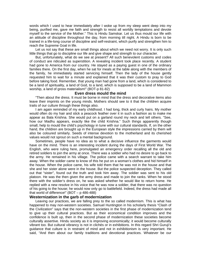words which I used to hear immediately after I woke up from my sleep went deep into my being, purified me, gave me faith and strength to resist all worldly temptations and devote myself to the service of the Mother." This is Hindu Samskar. Let us thus mould our life with an attitude of discipline throughout the day, from morning till night. A Hindu is born to be trained in a life-long course of discipline and self-restraint, which purify and strengthen him to reach the Supreme Goal in life.

Let us not say that these are small things about which we need not worry. It is only such little things that go to discipline our life and give shape and strength to our character.

But, unfortunately, what do we see at present? All such benevolent customs and codes of conduct are ridiculed as superstition. A revealing incident took place recently. A student had gone to America from our country. He stayed as a paying guest in one of the ordinary families there. On the first day, when he sat for meals at the table along with the members of the family, he immediately started servicing himself. Then the lady of the house gently requested him to wait for a minute and explained that it was their custom to pray to God before taking food. Remember, that young man had gone from a land, which is considered to be a land of spirituality, a land of God, to a land, which is supposed to be a land of Mammon worship, a land of gross materialism!" (BOT-p 81-82)

#### **Even dress mould the mind**

"Then about the dress. It must be borne in mind that the dress and decorative items also leave their imprints on the young minds. Mothers should see to it that the children acquire traits of our culture through these things also.

I am again reminded of my early childhood. I had long, thick and curly hairs. My mother would often do my hair and stick a peacock feather over it in such a fashion as to make me appear as Bala Krishna. She would put on a garland round my neck and tell others. "See, how our Madhu appears, exactly like the child Krishna." Such things apparently though small, help to mould the child's psychology in tune with our cultural standards. If, on the other hand, the children are brought up in the European style the impressions carried by them will also be coloured similarly. Seeds of intense devotion to the motherland and its cherished values would not sprout on such a mental background.

Sometimes, people have no idea as to what a decisive influence the garments would have on the mind. There is an interesting incident during the days of First World War. The English, who were ruling here, promulgated an emergency order recalling all the old and retired soldiers to join the army at once. There was a soldier who had no desire to go back to the army. He remained in his village. The police came with a search warrant to take him away. When the soldier came to know of this he put on a woman's clothes and hid himself in the house. When the police came, his wife told them that he was not in the house and that she and her sister alone were in the house. But the police suspected deception. They called out that "sister", found out the truth and took him away. The soldier was sent to his old platoon. He was the then given the army dress and made to join the ranks. When he stood there with the soldier's dress on, he was asked whether he would like to return home. He replied with a new resolve in his voice that he was now a soldier, that there was no question of his going to the house; he would now only go to battlefield. Indeed, the dress had made all that world of difference!" (BOT – p 486-488)

#### **Westernization in the garb of modernization**

Leaving our practices, we are falling prey to the so called modernism. This is what has happened to may non-western societies. Samuel Huntington in his scholarly thesis "Clash of the Civilization" says that the non-western societies in the first phase of modernization tend to give up their cultural practices. But as their economical condition improves and the confidence is built up, then in the second phase of modernization these societies become culturally assertive. Hindu society as it is improving economically; it would become culturally vibrant too. But cultural vibrancy is not in clichés or in exhibitions. In this regard Shri Guruji's guidance that culture is in restraint of mind and not in exhibitionism is very important. He said, "And then about our family traditions and devotional practices. Whatever be our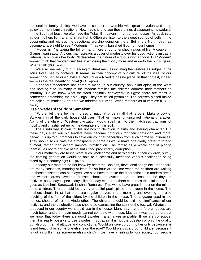personal or family deities, we have to conduct its worship with great devotion and keep aglow our holy family traditions. How tragic it is to see these things disappearing nowadays! In the South, at least, we often see the Tulasi Brindavan in front of our houses. As dusk sets in, our mothers light a lamp in front of it. Often we listen to the sweet sounds of bells in the pooja-griha and witness the devotional worship going on there. But in the North, this has become a rare sight to see, "Modernism" has verily banished God from our homes.

"Modernism" is taking the toll of many more of our cherished values of life. A couplet in Jhaneshwari says, "A pious man spreads a cover of modesty over his good actions just as a virtuous lady covers her body. "It describes the nature of virtuous womanhood. But "Modern" women think that "modernism" lies in exposing their body more and more to the public gaze. What a fall! (BOT –p488)

We also see many of our leading 'cultural men' associating themselves as judges in the 'Miss India' beauty contests. It seems, in their concept of our culture, of the ideal of our womanhood, a Sita or a Savitri, a Padmini or a Nivedita has no place. In that contest, indeed we miss the real beauty of India! (BOT –p54)

It appears modernism has come to mean, in our country, only blind aping of the West and nothing else. In many of the modern families the children address their mothers as 'mummy'. Do we know what the word originally conveyed? In Egypt, there are massive cemeteries entombing their old kings. They are called pyramids. The corpses placed inside are called 'mummies'! And here we address our living, loving mothers as mummies! (BOT – p488)

#### **Use Swadeshi for right Samskar**

"Further let there be the impress of national pride in all that is ours. Make a vow of Swadeshi in all the daily household uses. That will make for unsullied national character. Aping of the glare of Western civilization would spell ruin to the matchless traditions of nobility and chastity set up by the daughters of this soil.

The Hindu was known for his unflinching devotion to truth and sterling character. But these days even our big leaders have become notorious for their corruption and moral decay. It is up to our mothers to save our younger generation from such corrosive influences. They should so cultivate the atmosphere in home as would make one gladly prefer to forego a meal, rather than accept immoral gratification. The family as a whole should pledge themselves not to partake of the sinful food procured by corruption.

If our mothers were to inculcate such wholesome and heroic traits in their children, surely the coming generation would be able to successfully meet the various challenges being faced by our country." (BOT –p490)

If today our mothers do not know by heart the Bhajans, devotional songs etc., then there are many cassettes, morning at least for an hour at the time when the children are waking up, these cassettes can be played. We also have to make the differentiation in modern dress and western dress. Western dresses should be avoided. And at least on the days of festivals, pooja days, special days like birthday etc our mothers can dress their little ones like gods as Lakshmi, Saraswati, Krishna,Rama etc. This would have great impact on the minds of he children. There should be a very beautiful pooja place if not room in the home. The mothers should insist that there are regular prayers in the morning and evening and also touching of the feet of the elders by the children in the house. The language used in the homes, should reflect the Hindu ethos. The children should be told the significance of our festivals, and the celebration also should be expressing the spirit of the festival. Whatever is produced in our country we should use in the house. Many say that the foreign goods are much better and the Indian goods cannot compete with these. May be it was true before but we know that today there are good Swadeshi alternatives available. If we are conscious, then it is easily possible to use Swadeshi. But again it is not the question of only the quality but also our mental attitude and convictions. Would we give up our mother only because she is not beautiful as some one else is on the road? Would we discard our child just because it is not as brilliant as someone else's child? If we have a feeling for our society, our people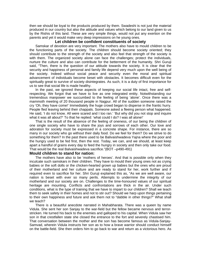then we should be loyal to the products produced by them. Swadeshi is not just the material produced in our country but also the attitude and values which belong to our land given to us by the Rishis of this land. These are very simple things, would not put any exertion on the parents and yet it would make very deep impressions on he young ones.

## **Let children be confident constituents of society**

Samskar of devotion are very important. The mothers also have to mould children to be the functioning parts of the society. The children should become society oriented; they should contribute to the strength of the society and also feel that strength of the society is with them. The organized society alone can face the challenges; protect the individuals, nurture the culture and also can contribute for the betterment of the humanity. Shri Guruji said, "Then, there is the question of our attitude towards the society. It is clear that the security and happiness of personal and family life depend very much upon the well being of the society. Indeed without social peace and security even the moral and spiritual advancement of individuals become beset with obstacles. It becomes difficult even for the spiritually great to survive of society disintegrates. As such, it is a duty of first importance for us to see that social life is made healthy.

In the past, we ignored these aspects of keeping our social life intact, free and selfrespecting. We forgot that we have to live as one integrated entity. Notwithstanding our tremendous manpower we succumbed to the feeling of being 'alone'. Once there was a mammoth meeting of 20 thousand people in Nagpur. All of the sudden someone raised the cry 'Oh, they have come!' Immediately the huge crowd began to disperse in the frantic hurry. People fled leaving behind their chappals. Someone asked a fleeing person what happened. He said, 'I do not know. All were scared and I too ran.' 'But why did you not stop and inquire what it was all about?' To that he replied: 'what could I do? I was all alone!'

That is the result of the absence of the feeling of oneness, of our being the children of one single society who have to share the joys and sorrows of each other. Our love and adoration for society must be expressed in a concrete shape. For instance, there are so many in our society who go without their daily food. Do we feel for them? Do we strive to do something for them? In the past there used to be Balivaishwadeva Yajna where the poor and the hungry used to be fed first, then the rest. Today, we can, and we should, at least keep apart a handful of grains every day to feed the hungry in society and then only take our food. That would be the real Balvaishwadeva sacrifice."(BOT –p490-491)

# **Mould children to stand for nation:**

The mothers have also to be 'mothers of heroes'. And that is possible only when they inculcate such samskars in their children. They have to mould their young ones not as crying babies or the soft dolls or the chicken-hearted grown up babies but the ones who are proud of their motherland and her culture and are ready to stand for her, work further and if required even to sacrifice for her. Shri Guruji explained this as, "As we are well aware, our nation is beset with ever so many perils. Attempts to undermine the integrity of our motherland and our society are on. Challenges to the time-honoured values of our spiritual heritage are mounting. Conflicts and confrontations are thick in the air. Under such conditions, what is the type of training that we have to impart to our children? Shall we teach them to seek safety in their homes and not to stir out? Should we harp upon things pertaining to their own happiness and future and ask them not to "dabble in other things?" What shall we teach?

There is a beautiful anecdote narrated in Mahabharata. There was a queen by name Vidula. She sent her son Sanjay to the war-field but the fellow became nervous and terrorstricken. He turned his back to the enemies and galloped to his capital. When Vidula saw her son in that crestfallen state she closed the entrance to the fort and severely chastised him. That conversation between the mother and the son has become famous as Vidula-Sanjay-Samvad, wherein Vidula instructs her son as to how a brave warrior should conduct himself on the battle-field. She then orders him to go back to war and return as a victorious hero. As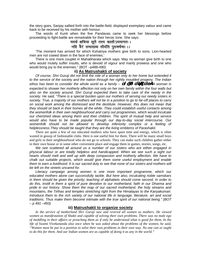the story goes, Sanjay sallied forth into the battle-field, displayed exemplary valour and came back to be received by his mother with honour.

The words of Kunti when the five Pandavas came to seek her blessings before proceeding to fight-battle are remarkable for their heroic tone. She says:

यदर्थ क्षत्रिया सूते तस्य कालोऽयमागतः ।

# नहि वैरं समासाद्य सीदंति पुरुषर्षभाः ।।

'The moment has arrived for which Kshatriya mothers give birth to sons. Lion-hearted men are not cowed down in the face of enemies.'

There is one more couplet in Mahabharata which says: May no woman give birth to one who would mutely suffer insults, who is devoid of vigour and manly prowess and one who would bring joy to the enemies." (BOT –p488-490)

# **ii) As Matrushakti of society**

*Of course, Shri Guruji did not limit the role of a woman only to her home but extended it to the service of the society and the nation through her rightly moulded progeny. The Indian*  **ethos has been to consider the whole world as a family – <b>ol 46 difficule#** A woman is *expected to shower her motherly affection not only on her own family within the four walls but*  also on the society around. Shri Guruji expected them to take care of the needy in the *society. He said, "There is a special burden upon our mothers of serving our needy sisters in society. True, a majority of our mothers will not be in a position to go to far-off places to carry on social work among the distressed and the destitute. However, this does not mean that they should sit back in their homes all the while. They could establish useful contacts among the womenfolk in their own neighbourhood and carry out programmes, which would inculcate our cherished ideas among them and their children. The spirit of mutual help and service would also have to be made popular through our day-to-day social intercourse. Our*  womenfolk should not be allowed to develop inferiority complex or a feeling of *helplessness.They should be taught that they are the living emblems of Parashakti.* 

There are quite a few of our educated mothers who have spare time and energy, which is often wasted in gossip of fashionable clubs. Here is one useful hint for them. There will be many small boys and girls in their neighbourhood who do not go to schools. They can make such children gather either in their own house or in some other convenient place and engage them in games, stories, songs, etc.

*We see scattered all around us a number of our sisters who are either engaged in physical labour or are totally helpless and handicapped. When we see such a sight our hearts should melt and well up with deep compassion and motherly affection. We have to chalk out suitable projects, which would give them some useful employment and enable them to earn a livelihood. It is our sacred duty to see that none of our sisters and mothers will be left on the streets uncared for.* 

Literacy campaign among women is one more important programme, which our *educated mothers alone can successfully tackle. But here also, inculcating noble samskars in them should be given the priority; teaching of alphabets should come second. In order to do this, instill in them a spirit of pure devotion to our motherland, faith in our Dharma and pride in our history. Show them the map of our sacred motherland, the holy streams and mountains, the Tirthas and temples stretching right from the Himalayas to the Kanyakumari. Introduce them to the rich variety of our national life in language, literature, art and social traditions. Thus make them become intimate with the true spirit of our national being." (BOT – p 491 –493)* 

#### **iii) Matrushakti to organize society**

*In the service of motherland Shri Guruji saw and revered all women as mothers. He viewed women as manifestation of Shakti and capable of solving their own problems. There was no male ego of meddling in their affairs or preaching them as if only he understood what is good for them. In the life of Swami Vivekananda also once when he was asked about the problems of the women, he said, "Women must be put in a position to solve their own problems in their own way. No one can or ought to do this for them. And our Indian women are as capable of doing it as any in the world."*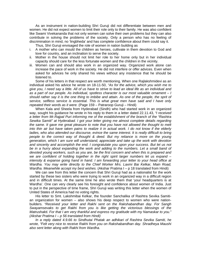As an instrument in nation-building Shri Guruji did not differentiate between men and women. He did not expect women to limit their role only to their family. He was also confident like Swami Vivekananda that not only women can solve their own problems but they can also contribute in solving the problems of the society. Only a person who has no feeling of discrimination in mind, no 'lingbheda' and has complete confidence about them could say it.

Thus, Shri Guruji envisaged the role of women in nation building as

- i. A mother who can mould the children as heroes, cultivate in them devotion to God and love for country, and an inclination to serve the society.
- ii. Mother in the house should not limit her role to her home only but in her individual capacity should care for the less fortunate women and the children in the vicinity.
- iii. Women can and should also work in an organized way. Organized work alone can increase the pace of work in the society. He did not interfere or offer advices. Even when asked for advices he only shared his views without any insistence that he should be listened to.

Some of his letters in that respect are worth mentioning. When one Rajlakshmidevi as an individual asked his advice he wrote on 18-11-50, *"As for the advice, which you wish me to give you, I need say a little. All of us have to strive to lead an ideal life as an individual and as a part of our people. As individual, spotless character is our most valuable ornament – I should rather say it is the one thing to imbibe and attain. As one of the people, the sprit of service, selfless service is essential. This is what great men have said and I have only repeated their words as it were.* (Page 159 – Patraroop Guruji – Hindi)

When Kala and Sheela from Hyderabad (Sindh) who had started work in an organized way, sought his guidance he wrote in his reply to them in a letter dated 22.11.43, *"I received a letter from Mr.Rajpal Puri informing me of the establishment of the branch of the "Rashtra Sewika Samiti" at Hyderabad. I got your letter giving me almost complete details regarding the same. It gave me great pleasure to note that you have not allowed the thought to melt into thin air but have taken pains to realize it in actual work. I do not know if the elderly*  ladies, who also attended our discourse, evince the same interest. It is really difficult to bring *people to the correct way of thought & deed. But my reliance is more on the young generation, which I am sure will understand, appreciate and take up the work with devotion and sincerity and accomplish the end. I congratulate you upon your success. But let us not*  be in a hurry about expanding the work and adding to the numbers. Let a small band of *devoted young workers, such as you are, be the first concern and when this is prepared and we are confident of holding together in the right spirit larger numbers let us expand – intensity & expanse going hand in hand. I am forwarding your letter to your head office at Wardha. You may write directly to the Chief Worker Mrs. Laxmi Bai Kelkar, Main Road, Wardha. Meanwhile accept my best wishes.* (Akshar Pratima I – p 18 translated from Hindi)

We can see from this letter the concern that Shri Guruji had as a nationalist for the work started by these two sisters who were trying to work in an organized way in a difficult region and in difficult times. At the same time he also wrote them that 'your headquarters is at Wardha'. One can very clearly see his foresight and confidence about women of India. Just to put in the perspective of time frame, Shri Guruji was writing this letter when the women of United States of America had no voting rights.

His letter to Smt. Lakshmibai Kelkar, the founder Sanchalika of Rashtra Sevika Samitian organization for women – also shows his deep respect to women who were nationbuilders. *"Received your letter and Rakhi sent on the Rakshabandhan day. For Sangh Swayamsevaks to get Rakhi from you is like getting the victorious blessings of the Matrushakti. For that I am very thankful and express my gratitude with my Namaskar to you." (Akshar Pratima I – p 56 translated from Hindi)* 

*In a reply dated 4.9.66 to Sindhutai Phatak an adhikari of Rashtra Sevika Samiti, he wrote, "Felt very nice to receive Rakhi from you on Rakshabandhan day. Shradheya Maushi also sent letter along with Rakhi from Wardha.*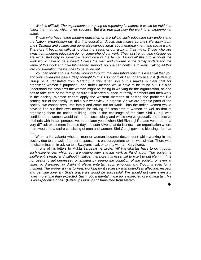*Work is difficult. The experiments are going on regarding its nature. It would be fruitful to*  follow that method which gives success. But it is true that now the work is in experimental *stage.* 

*Those who have taken modern education or are taking such education can understand the Nation, organization etc. But this education directs and motivates one's life away from one's Dharma and culture and generates curious ideas about entertainment and social work. Therefore it becomes difficult to plant the seeds of our work in their mind. Those who are away from modern education do not comprehend our work. Their all strength and intelligence are exhausted only in somehow taking care of the family. Taking all this into account the work would have to be evolved. Unless the men and children in the family understand the value of this work and give full-hearted support, no one can continue to work. Taking all this into consideration the way has to be found out.* 

*You can think about it. While working through trial and tribulations it is essential that you and your colleagues give a deep thought to this. I do not think I am of any use in it.* (Patrarup Guruji p184 translated from Marathi) In this letter Shri Guruji makes is clear that for organizing women a purposeful and fruitful method would have to be found out. He also understood the problems the women might be facing in working for the organization, as she has to take care of the family, secure full-hearted support of family members and then work in the society. Women cannot apply the western methods of solving the problems like coming out of the family. In India our worldview is organic. As we are organic parts of the society, we cannot break the family and come out for work. Thus the Indian women would have to find out their own methods for solving the problems of women as well as that of organizing them for nation building. This is the challenge of the time Shri Guruji was confident that women would take it up successfully and would evolve gradually the effective methods with Indian perspective. In the later years when Shri Eknathji Ranade ventured on a very difficult experiment in those days, to start Vivekananda Kendra – an organization where there would be a cadre consisting of men and women, Shri Guruji gave his blessings for that too.

When a Karyakarta whether man or woman became despondent while working in the society due to the lack of proper response, his encouragement to him was similar. There was no discrimination in advice to a Swayamsevak or to any woman-Karyakarta.

In one of his letters to Mukta Sardesai he wrote, *"All Karyakartas have to go through such experiences which you are getting after starting work in Pandharpur. The society is*  indifferent, skeptic and without initiative, therefore it is essential to exert to put life in it. It is *not useful to get depressed or irritated by seeing the condition of the society, or even at times, to disrespect or dislike it. Never entertain such emotions and thoughts even for a moment. The proper way is to keep working for it selflessly with boundless affection, respect*  and genuine love. By God's grace we would be successful. We should not care even if it *takes more time than expected. Such robust mental make up is expected of Karyakarta. This is an experience of all."* (Patrarup Guruji p177 translated from Marathi)

 $\blacklozenge$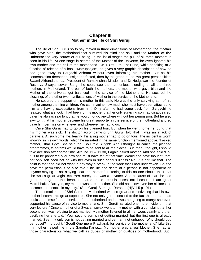# **Chapter****III 'Mother' in the life of Shri Guruji**

The life of Shri Guruji so to say moved in three dimensions of Motherhood; the **mother** who gave birth, the motherland that nurtured his mind and soul and the **Mother of the Universe** the very source of our being. In the initial stages the pull of all three mothers is seen in his life. At one stage in search of the Mother of the Universe, he even ignored his own mother and the call of the motherland. On 4 Oct 1969, at Pune, while speaking at a function of release of a book "Matrupoojan", he gives a very graphic description of how he had gone away to Sargachi Ashram without even informing his mother. But as his contemplation deepened, insight perfected, then by the grace of the two great personalities: Swami Akhandananda, President of Ramakrishna Mission and Dr.Hedgewar the founder of Rashtrya Swayamsevak Sangh he could see the harmonious blending of all the three mothers in Motherland. The pull of both the mothers; the mother who gave birth and the Mother of the universe got balanced in the service of the Motherland. He secured the blessings of the other two manifestations of Mother in the service of the Motherland.

He secured the support of his mother in this task. He was the only surviving son of his mother among the nine children. We can imagine how much she must have been attached to him and having expectations from him! Only after he had come back from Sargachi he realized what a shock it had been for his mother that her only surviving son had disappeared. Later he always saw to it that he would not go anywhere without her permission. But he also saw to it that his mother became his great supporter in the service of the motherland and so gave him permission whenever and wherever he had to go.

Once Shri Guruji had to go on his planned tour. But when he went home he found that his mother was sick. The doctor accompanying Shri Guruji told that it was an attack of paralysis. At such time, he, leaving his ailing mother had to go on tour. The incident is worth knowing in his own words, which he narrated in the same function mentioned above. "I asked mother, 'shall I go? She said 'no'. So I told 'Alright'. And I thought, to cancel the planned programmes, telegrams would have to be sent to all the places. But, then I thought, I should take decision after some time. Around 11 – 11.30, I again asked mother. And she said 'Go'. It is to be pondered over how she must have felt at that time. Would she have thought, that, her only son need not be with her even in such serious illness? No, it is not like that. The point is that she did not want in any way a break in the work that I had undertaken. So she gave me permission. She also told "The life and death of a person is not dependent on anyone staying or not staying near that person." Listening to this no one should think that she was a great yogini etc. Yes, surely she was a devotee. And because of that she had great courage in the heart. I shared these reminiscences not because I am great Matrubhakta. But, yes, my mother was a real mother. She did not allow even her sickness to become an obstacle in my duty." (Shri Guruji Samagra Darshan (H)Vol 5 p 101)

The commitment of Shri Guruji to Motherland was so great and motivating that his own mother became his great supporter. She not only got reconciled to the fact that her son had dedicated himself to the service of the motherland and so was not going to marry; she even supported his cause of service to motherland. Shri Guruji narrated one more incident in that very lecture. "Once a mother of a Swayamsevak went to my mother with a complaint that her second son was refusing to get married. My mother listened to all her woes calmly and then pacifying her she told, "Your second son is not getting married, but the first one is already married. See, my only son is not getting married and yet I am not unhappy. Why should you get upset?" I thought, "Good! One more Pracharak for service of the motherland!' Like this my mother helped me in the Sangha-Karya.… My mother was a real Mother. She had all those characteristics what we call as duties of mother or qualities of motherhood. But I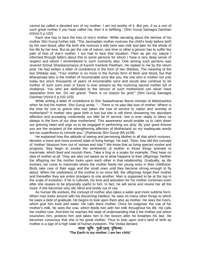cannot be called a devoted son of my mother. I am not worthy of it. But yes, if as a son of such great mother if you have called me, then it is befitting." (Shri Guruji Samagra Darshan (H)Vol 5 p 102)

Each one has to face the loss of one's mother. While narrating about the demise of his mother Shri Guruji further told, "The Janmadatri mother nurtures the child's body before birth by her own blood, after the birth she nurtures it with here own milk and later for the whole of her life by her love. But as per the rule of nature, one time or other a person has to suffer the pain of loss of one's mother. I too had to face that situation. Then as per my nature I informed through letters about this to some persons for whom I have a very deep sense of respect and whom I remembered in such moments also. One among such persons was revered Srimat Shankaracharya of Kanchi Kamkoti Peetham. He replied to me by the return post. He had written a letter of condolence in the form of two Shlokas. The meaning of the two Shlokas was, "Your mother is no more in the human form of flesh and blood, but that Bharatmata who is the mother of innumerable sons like you, the one who is mother not only today but since thousands of years of innumerable sons and would also continue to be mother of such sons even in future is ever present as the nurturing sacred mother full of chaitanya. You who are dedicated to the service of such motherland can never have separation from her. Do not grieve. There is no reason for grief." (Shri Guruji Samagra Darshan (H)Vol 5 p 102-103)

While writing a letter of condolence to Shri Sadashivarao Barve minister of Maharashtra when he lost his mother, Shri Guruji wrote, "…There is no pain like loss of mother. Where is the time for one to grieve who has taken the vow of service to nation and worship of motherland? A mother who gave birth is lost but she is still there showering her abundant affection and accepting contentedly our little bit of service, she is ever ready to bless us always in the form of our dear motherland. This awareness would enable us to calm down our grieving heart and urge us to be engaged in performing our duty. By your good fortune you are the recipient of the strengthening affection of Motherland so my inadequate words are too superfluous to console you." (Patraroop Shri Guruji (M) p139)

He explained how this attitude of seeing and perceiving Mother in all that which nurtures, denotes a more and more evolved state of living beings. He said, "Now, how did this concept of 'mother' blossom from out of 'stones and clay'? We know that as living species evolve and progress, they begin to invoke the sentiments of mother in those things animate or inanimate, which feed and nourish them. Take a frog or a snake for example. They have no idea of mother at all. They are also not aware as to what happens to their offsprings. Neither the offspring nor the mother looks upon each other in that relationship. Gradually, as life evolves, we come to mammals where the mother feeds her young ones in their childhood. Birds take care of their eggs and the small ones until they become strong enough to fly about. When the usefulness of the mother is no more felt, the offsprings forget their mother and thereafter they are entire strangers to one another. Man is supposed to be at the top in the scale of evolution. If he is cultured, his love and adoration for his mother continues even after she ceases to be physically useful to him. In fact, he will serve and revere her all the more, if she becomes very old, blind and bodily out of use.

As human life evolves, the concept of mother also takes a wider and more sublime form. When man looks around with his discerning intellect, he sees so many other things to which he owes a debt of gratitude. He begins to look upon them also as mother. He sees the rivers, which give him food and water. He calls them mother. Once he outgrows the use of his mother's milk, he sees the cow, which feeds him with her milk throughout his life. He calls her mother-cow. And then he reaches the state of understanding that it the mother soil which nourishes him, protects him and takes him in her bosom after he breathes his last. He becomes conscious that she is his great mother. Thus to look upon one's land of birth as mother is a sign of a high state of human evolution. The Vedas declare:

> माता भूमिः पुत्रोऽहम् पृथिव्याः **'The Earth is my mother, I am her child.'**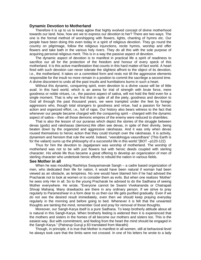#### **Dynamic Devotion to Motherland**

Therefore it is up to us to keep aglow that highly evolved concept of divine motherhood towards our land. Now, how are we to express our devotion to her? There are two ways. The one is the formal method of worshipping with flowers, lights, chanting of hymns etc. Our people have been doing this even today in a spirit of religious devotion. They go round the country on pilgrimage, follow the religious injunctions, recite hymns, worship and offer flowers and take bath in the various holy rivers. They do all this with the sole purpose of acquiring personal religious merit. This is in a way the passive aspect of devotion.

The dynamic aspect of devotion is to manifest in practical life a spirit of readiness to sacrifice our all for the protection of the freedom and honour of every speck of this motherland. It is this active manifestation that counts in this hard matter-of-fact world. A heart fired with such devotion can never tolerate the slightest affront to the object of its devotion, i.e., the motherland. It takes on a committed form and rests not till the aggressive elements responsible for the insult no more remain in a position to commit the sacrilege a second time. A divine discontent to undo all the past insults and humiliations burns in such a heart.

Without this dynamic, conquering spirit, even devotion to a divine cause will be of little avail. In this hard world, which is an arena for trial of strength with brute force, mere goodness or noble virtues, i.e., the passive aspect of sattva, will not hold the field even for a single moment. That is why we find that in spite of all the piety, goodness and devotion to God all through the past thousand years, we were trampled under the feet by foreign aggressors who, though total strangers to goodness and virtue, had a passion for heroic action and organized effort, i.e., full of rajas. Our history also bears witness to the fact that whenever our people became charged with the conquering spirit – charged with the dynamic aspect of sattva – then all those demonic empires of the enemy were reduced to shambles.

That is also the lesson of our puranas which depict the stories of the struggle between devas (gods) and rakshasas (demons).We often see devas, in spite of their divinity, being beaten down by the organized and aggressive rakshasas. And it was only when devas roused themselves to heroic action that they could triumph over the rakshasas. It is activity, dynamism and heroism that rule the world. Indeed, "veerabhogya vasundhara" (This Earth is for the valiant) sums up the philosophy of a successful life in this world."(BOT –p120-122)

Thus for him the devotion to Jagatjanani was worship of motherland. The worship of motherland was not to be with just flowers but with heroic deeds coupled with sterling character. His whole life thus became a great offering to develop an organization of men of sterling character who undertook heroic efforts to rebuild the nation in various fields.

#### **See Mother in all**

When he was moulding Rashtriya Swayamsevak Sangh – a cadre based organization of men, who dedicated their life for nation, it would have been natural if woman had been viewed as an obstacle, as temptress. No one would have blamed him if he had advised the Pracharak not to look at women or to consider them as evils. But when one realizes 'Mother' he sees only Her in all. So to the young Pracharak he advised to do the Sadhana of seeing Mother everywhere. He wrote, "Everyone cannot be Swami Vivekananda or Chatrapati Shivaji Maharaj. Many drawbacks are there in any ordinary person. If we strive to pray regularly to Parameshwar in a form dear to us then our life gets purified gradually. Even if we do not see the desired result immediately, even then we should keep praying everyday regularly in the morning and before going to bed. Whenever it is felt that the unwanted thoughts are tainting the mind, remember God and pray for removal of those thoughts.

Moreover, our Sangh-Karya itself is a pure Sadhana. To keep brotherly attitude about all is natural in this Sangh-Karya. When brotherly feeling is widened then it is experienced that the mothers and sisters in the homes of all become our mothers and sisters too. This is the easiest way. But with commitment, and feeling from the heart the mind should be engaged in the Sangh-Karya." (Patrarup Guruji p 83 translated from Marathi)

Though, in principle, it is true that Mother is manifest in all women, still at behavioral level he always took care that the limits were not crossed. In one of his letters he wrote to a lady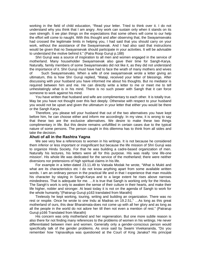working in the field of child education, "Read your letter. Tried to think over it. I do not understand why you think that I am angry. Any work can sustain only when it stands on its own strength. It we plan things on the expectations that some others will come to our help the effort will come to naught. With this thought and after observing that, the Swayamsevaks had crossed the legitimate limits in helping you, I had said that you should carry on your work, without the assistance of the Swayamsevak. And I had also said that instructions would be given that no Swayansevak should participate in your activities. It will be advisable to understand the motive behind it." (Patra Roop Guruji p.188)

Shri Guruji was a source of inspiration to all men and women engaged in the service of motherland. Many householder Swayamsevak also gave their time for Sangh-Karya. Naturally, family members of some Swayamsevaks did not like it, as they did not understand the importance of it. Shri Guruji must have had to face the wrath of many mothers and wives of Such Swayamsevaks. When a wife of one swayamsevak wrote a letter giving an ultimatum, this is how Shri Guruji replied, "Mataji, received your letter of blessings. After discussing with your husband you have informed me about his thoughts. But no mediator is required between him and me. He can directly write a letter to me or meet me to tell unhesitatingly what is in his mind. There is no such power with Sangh that it can force someone to work against his mind.

You have written that husband and wife are complimentary to each other. It is totally true. May be you have not thought over this fact deeply. Otherwise with respect to your husband you would not be upset and given the ultimatum in your letter that either you would be there or the Sangh Karya.

Therefore, you please tell your husband that out of the two alternatives you have kept before him, he can choose either and inform me accordingly. In my view, it is wrong to say that these two are the exclusive alternatives. We desire to make these two things complimentary in life. But this desire remains unfulfilled in certain cases due to the typical nature of some persons. The person caught in this dilemma has to think from all sides and take the decision.

#### **Ahuti of all in the Rashtra Yagna**

We see very few a references to women in his writings. It is not because he considered them inferior or less important or insignificant but because the life mission of Shri Guruji was to organize Hindu Society. For that he was building a cadre-based organization of men. Naturally his lectures, his letters were all for this purpose. His was really 'one life-one mission'. His whole life was dedicated for the service of the motherland; there were neither diversions nor pretensions of high spiritual claims in his life.

For example in a letter-dated 23.11.49 to Vatsala Modak he wrote, "What is Mukti and what are its characteristics etc I do not know anything apart from some available written words. I am an ordinary person in the practical life and in that I experience that man moulds his character by staying in Sangh-Karya and to a large extent he rises above narrows mindedness. That is adequate for me. …It is true that Sangh is working only for the Hindus. The Sangh's work is only to awaken the sense of their culture in their hearts, and make their life higher, nobler and stronger. At least today it is not on the agenda of Sangh to work for the whole humanity."(Patrarup Guruji p163 translated from Marathi)

Tirelessly he kept working, touring, writing and building an organization. There was no rest or respite. Once he wrote to one Indu at Madras on 19.2.51," …As long as this great motherland of ours, this dear Bharatmata-does not come up with all her glory and as long as all the people in the world do not adore her till then not even a mention of rest." (Patrarup Guruji p166 Translated from Marathi)

His concern was only motherland and her regeneration. But one more subtle reason is also there for not finding many references to the problems of women in his writings. He never differentiated between men and women. Generally only a gender-conscious person would specifically talk of the gender problems. As once said by Swami Vivekananda, "Do you remember how Yajnavalkya was questioned at the Court of King Janaka? His principal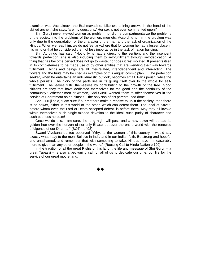examiner was Vachaknavi, the Brahmavadine. 'Like two shining arrows in the hand of the skilled archer,' she says, 'are my questions.' Her sex is not even commented upon!"

Shri Guruji never viewed women as problem nor did he compartmentalize the problems of the society into the problems of the women, men etc. According to him the problem was only due to the degradation of the character of the man and the lack of organization of the Hindus. When we read him, we do not feel anywhere that for women he had a lesser place in his mind or that he considered them of less importance in the task of nation building.

Shri Aurbindo has said, "Not only is nature directing the sentient and the insentient towards perfection, she is also inducing them to self-fulfillment through self-dedication. A thing that has become perfect does not go to waste; nor does it rest isolated. It presents itself in its completeness to be made use of by other entities that are wending their way towards fulfillment. Things and beings are all inter-related, inter-dependent and inter-acting. The flowers and the fruits may be cited as examples of this august cosmic plan. …The perfection seeker, when he entertains an individualistic outlook, becomes small. Parts perish, while the whole persists. The glory of the parts lies in its giving itself over to the whole for selffulfillment. The leaves fulfill themselves by contributing to the growth of the tree. Good citizens are they that have dedicated themselves for the good and the continuity of the community." Whether men or women, Shri Guruji wanted them to offer themselves in the service of Bharatmata as he himself – the only son of his parents- had done.

Shri Guruji said, "I am sure if our mothers make a resolve to uplift the society, then there is no power, either in this world or the other, which can defeat them. The ideal of Savitri, before whom even the Lord of Death accepted defeat, is before them. May they all invoke within themselves such single-minded devotion to the ideal, such purity of character and such peerless heroism!

Once we do this, I am sure, the long night will pass and a new dawn will spread its golden hue over the horizon of not only Bharat but over the entire world with the renewed effulgence of our Dharma." (BOT – p493)

Swami Vivekananda too observed "Why, to the women of this country, I would say exactly what I say to the men. Believe in India and in our Indian faith. Be strong and hopeful and unashamed, and remember that with something to take, Hindus have immeasurably more to give than any other people in the world." (Rousing Call to Hindu Nation p 100)

In the tradition of all the great Rishis of this land, the life and message of Shri Guruji – a great Tapasvi – is also a beckoning call for all of us to dedicate our time, our life for the service of our great motherland.

 $\blacklozenge \blacklozenge$